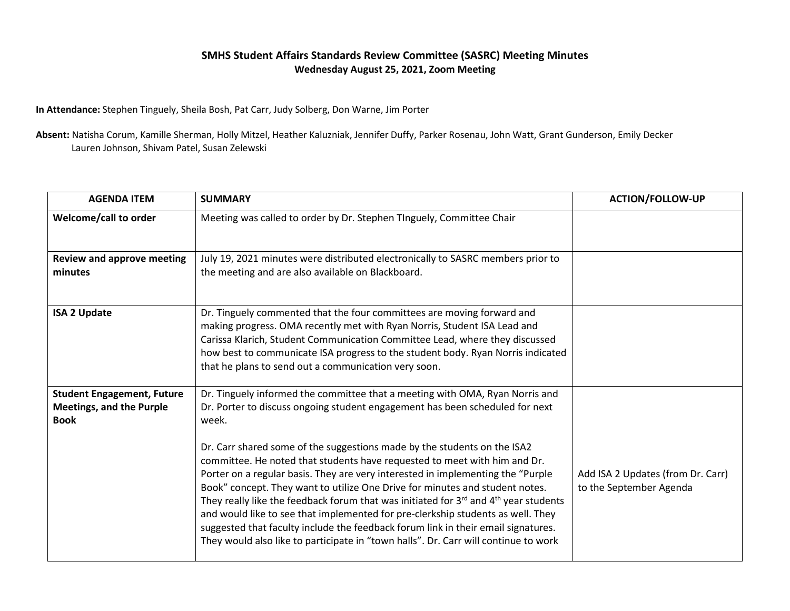## **SMHS Student Affairs Standards Review Committee (SASRC) Meeting Minutes Wednesday August 25, 2021, Zoom Meeting**

**In Attendance:** Stephen Tinguely, Sheila Bosh, Pat Carr, Judy Solberg, Don Warne, Jim Porter

**Absent:** Natisha Corum, Kamille Sherman, Holly Mitzel, Heather Kaluzniak, Jennifer Duffy, Parker Rosenau, John Watt, Grant Gunderson, Emily Decker Lauren Johnson, Shivam Patel, Susan Zelewski

| <b>AGENDA ITEM</b>                                                                  | <b>SUMMARY</b>                                                                                                                                                                                                                                                                                                                                                                                                                                                                                                                                                                                                                                                                                                                                                                                                                                                       | <b>ACTION/FOLLOW-UP</b>                                      |
|-------------------------------------------------------------------------------------|----------------------------------------------------------------------------------------------------------------------------------------------------------------------------------------------------------------------------------------------------------------------------------------------------------------------------------------------------------------------------------------------------------------------------------------------------------------------------------------------------------------------------------------------------------------------------------------------------------------------------------------------------------------------------------------------------------------------------------------------------------------------------------------------------------------------------------------------------------------------|--------------------------------------------------------------|
| Welcome/call to order                                                               | Meeting was called to order by Dr. Stephen TInguely, Committee Chair                                                                                                                                                                                                                                                                                                                                                                                                                                                                                                                                                                                                                                                                                                                                                                                                 |                                                              |
| <b>Review and approve meeting</b><br>minutes                                        | July 19, 2021 minutes were distributed electronically to SASRC members prior to<br>the meeting and are also available on Blackboard.                                                                                                                                                                                                                                                                                                                                                                                                                                                                                                                                                                                                                                                                                                                                 |                                                              |
| <b>ISA 2 Update</b>                                                                 | Dr. Tinguely commented that the four committees are moving forward and<br>making progress. OMA recently met with Ryan Norris, Student ISA Lead and<br>Carissa Klarich, Student Communication Committee Lead, where they discussed<br>how best to communicate ISA progress to the student body. Ryan Norris indicated<br>that he plans to send out a communication very soon.                                                                                                                                                                                                                                                                                                                                                                                                                                                                                         |                                                              |
| <b>Student Engagement, Future</b><br><b>Meetings, and the Purple</b><br><b>Book</b> | Dr. Tinguely informed the committee that a meeting with OMA, Ryan Norris and<br>Dr. Porter to discuss ongoing student engagement has been scheduled for next<br>week.<br>Dr. Carr shared some of the suggestions made by the students on the ISA2<br>committee. He noted that students have requested to meet with him and Dr.<br>Porter on a regular basis. They are very interested in implementing the "Purple<br>Book" concept. They want to utilize One Drive for minutes and student notes.<br>They really like the feedback forum that was initiated for 3rd and 4 <sup>th</sup> year students<br>and would like to see that implemented for pre-clerkship students as well. They<br>suggested that faculty include the feedback forum link in their email signatures.<br>They would also like to participate in "town halls". Dr. Carr will continue to work | Add ISA 2 Updates (from Dr. Carr)<br>to the September Agenda |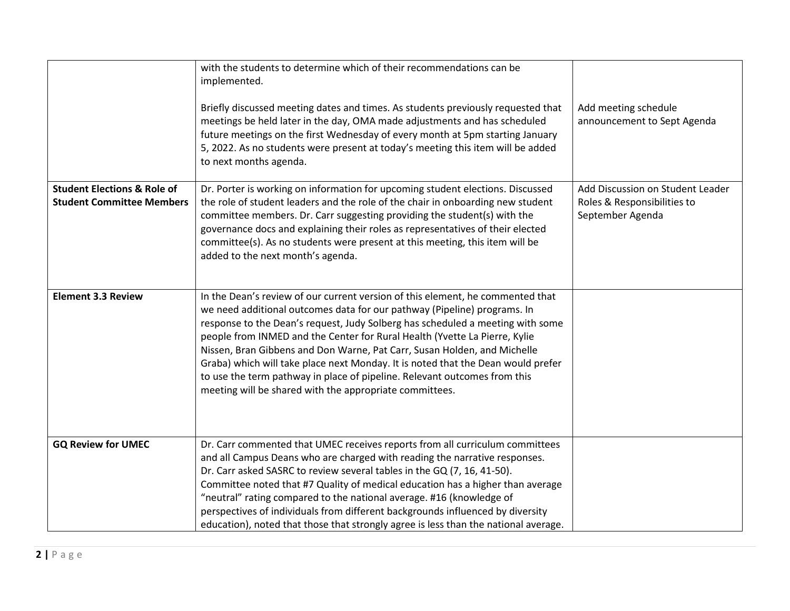|                                                                            | with the students to determine which of their recommendations can be<br>implemented.<br>Briefly discussed meeting dates and times. As students previously requested that<br>meetings be held later in the day, OMA made adjustments and has scheduled<br>future meetings on the first Wednesday of every month at 5pm starting January<br>5, 2022. As no students were present at today's meeting this item will be added<br>to next months agenda.                                                                                                                                                                                | Add meeting schedule<br>announcement to Sept Agenda                                 |
|----------------------------------------------------------------------------|------------------------------------------------------------------------------------------------------------------------------------------------------------------------------------------------------------------------------------------------------------------------------------------------------------------------------------------------------------------------------------------------------------------------------------------------------------------------------------------------------------------------------------------------------------------------------------------------------------------------------------|-------------------------------------------------------------------------------------|
| <b>Student Elections &amp; Role of</b><br><b>Student Committee Members</b> | Dr. Porter is working on information for upcoming student elections. Discussed<br>the role of student leaders and the role of the chair in onboarding new student<br>committee members. Dr. Carr suggesting providing the student(s) with the<br>governance docs and explaining their roles as representatives of their elected<br>committee(s). As no students were present at this meeting, this item will be<br>added to the next month's agenda.                                                                                                                                                                               | Add Discussion on Student Leader<br>Roles & Responsibilities to<br>September Agenda |
| <b>Element 3.3 Review</b>                                                  | In the Dean's review of our current version of this element, he commented that<br>we need additional outcomes data for our pathway (Pipeline) programs. In<br>response to the Dean's request, Judy Solberg has scheduled a meeting with some<br>people from INMED and the Center for Rural Health (Yvette La Pierre, Kylie<br>Nissen, Bran Gibbens and Don Warne, Pat Carr, Susan Holden, and Michelle<br>Graba) which will take place next Monday. It is noted that the Dean would prefer<br>to use the term pathway in place of pipeline. Relevant outcomes from this<br>meeting will be shared with the appropriate committees. |                                                                                     |
| <b>GQ Review for UMEC</b>                                                  | Dr. Carr commented that UMEC receives reports from all curriculum committees<br>and all Campus Deans who are charged with reading the narrative responses.<br>Dr. Carr asked SASRC to review several tables in the GQ (7, 16, 41-50).<br>Committee noted that #7 Quality of medical education has a higher than average<br>"neutral" rating compared to the national average. #16 (knowledge of<br>perspectives of individuals from different backgrounds influenced by diversity<br>education), noted that those that strongly agree is less than the national average.                                                           |                                                                                     |